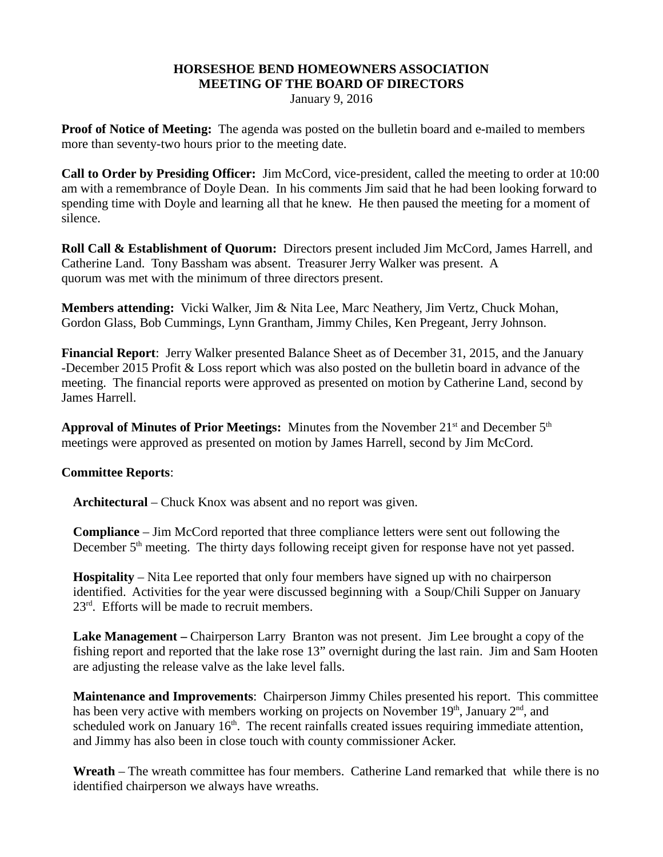## **HORSESHOE BEND HOMEOWNERS ASSOCIATION MEETING OF THE BOARD OF DIRECTORS**

January 9, 2016

**Proof of Notice of Meeting:** The agenda was posted on the bulletin board and e-mailed to members more than seventy-two hours prior to the meeting date.

**Call to Order by Presiding Officer:** Jim McCord, vice-president, called the meeting to order at 10:00 am with a remembrance of Doyle Dean. In his comments Jim said that he had been looking forward to spending time with Doyle and learning all that he knew. He then paused the meeting for a moment of silence.

**Roll Call & Establishment of Quorum:** Directors present included Jim McCord, James Harrell, and Catherine Land. Tony Bassham was absent. Treasurer Jerry Walker was present. A quorum was met with the minimum of three directors present.

**Members attending:** Vicki Walker, Jim & Nita Lee, Marc Neathery, Jim Vertz, Chuck Mohan, Gordon Glass, Bob Cummings, Lynn Grantham, Jimmy Chiles, Ken Pregeant, Jerry Johnson.

**Financial Report**: Jerry Walker presented Balance Sheet as of December 31, 2015, and the January -December 2015 Profit & Loss report which was also posted on the bulletin board in advance of the meeting. The financial reports were approved as presented on motion by Catherine Land, second by James Harrell.

Approval of Minutes of Prior Meetings: Minutes from the November 21<sup>st</sup> and December 5<sup>th</sup> meetings were approved as presented on motion by James Harrell, second by Jim McCord.

## **Committee Reports**:

**Architectural** – Chuck Knox was absent and no report was given.

**Compliance** – Jim McCord reported that three compliance letters were sent out following the December  $5<sup>th</sup>$  meeting. The thirty days following receipt given for response have not yet passed.

**Hospitality** – Nita Lee reported that only four members have signed up with no chairperson identified. Activities for the year were discussed beginning with a Soup/Chili Supper on January  $23<sup>rd</sup>$ . Efforts will be made to recruit members.

**Lake Management –** Chairperson Larry Branton was not present. Jim Lee brought a copy of the fishing report and reported that the lake rose 13" overnight during the last rain. Jim and Sam Hooten are adjusting the release valve as the lake level falls.

**Maintenance and Improvements**: Chairperson Jimmy Chiles presented his report. This committee has been very active with members working on projects on November 19<sup>th</sup>, January  $2<sup>nd</sup>$ , and scheduled work on January  $16<sup>th</sup>$ . The recent rainfalls created issues requiring immediate attention, and Jimmy has also been in close touch with county commissioner Acker.

**Wreath** – The wreath committee has four members. Catherine Land remarked that while there is no identified chairperson we always have wreaths.